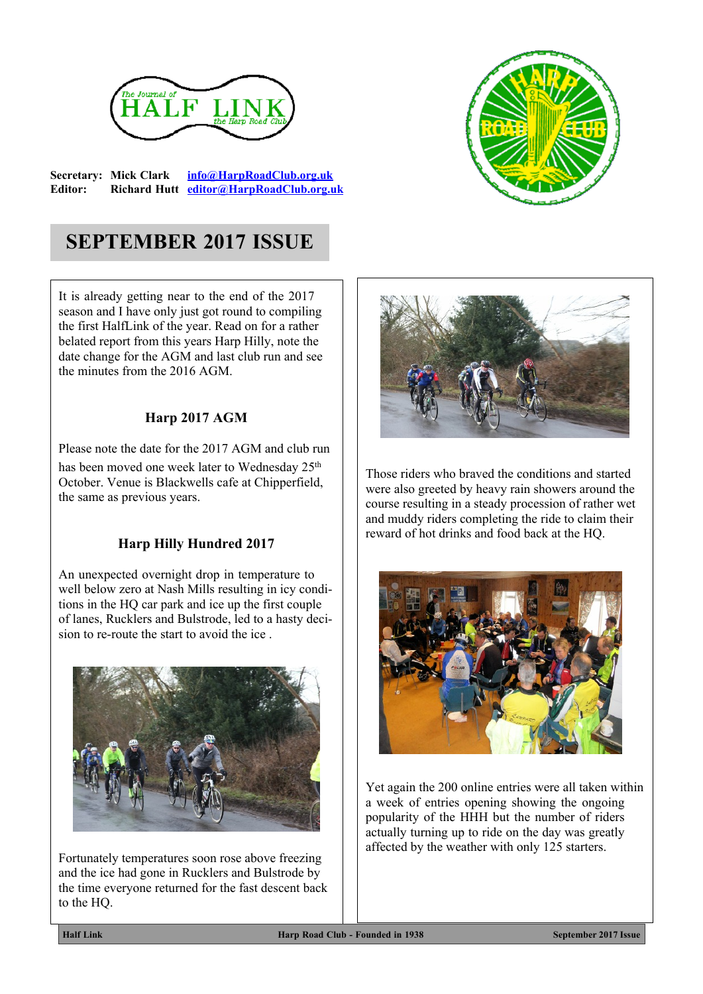

**Secretary: Mick Clark [info@HarpRoadClub.org.uk](mailto:info@HarpRoadClub.org.uk) Editor: Richard Hutt [editor@HarpRoadClub.org.uk](mailto:editor@HarpRoadClub.org.uk)**



# **SEPTEMBER 2017 ISSUE**

It is already getting near to the end of the 2017 season and I have only just got round to compiling the first HalfLink of the year. Read on for a rather belated report from this years Harp Hilly, note the date change for the AGM and last club run and see the minutes from the 2016 AGM.

#### **Harp 2017 AGM**

Please note the date for the 2017 AGM and club run has been moved one week later to Wednesday 25<sup>th</sup> October. Venue is Blackwells cafe at Chipperfield, the same as previous years.

### **Harp Hilly Hundred 2017**

An unexpected overnight drop in temperature to well below zero at Nash Mills resulting in icy conditions in the HQ car park and ice up the first couple of lanes, Rucklers and Bulstrode, led to a hasty decision to re-route the start to avoid the ice .



Fortunately temperatures soon rose above freezing and the ice had gone in Rucklers and Bulstrode by the time everyone returned for the fast descent back to the HQ.



Those riders who braved the conditions and started were also greeted by heavy rain showers around the course resulting in a steady procession of rather wet and muddy riders completing the ride to claim their reward of hot drinks and food back at the HQ.



Yet again the 200 online entries were all taken within a week of entries opening showing the ongoing popularity of the HHH but the number of riders actually turning up to ride on the day was greatly affected by the weather with only 125 starters.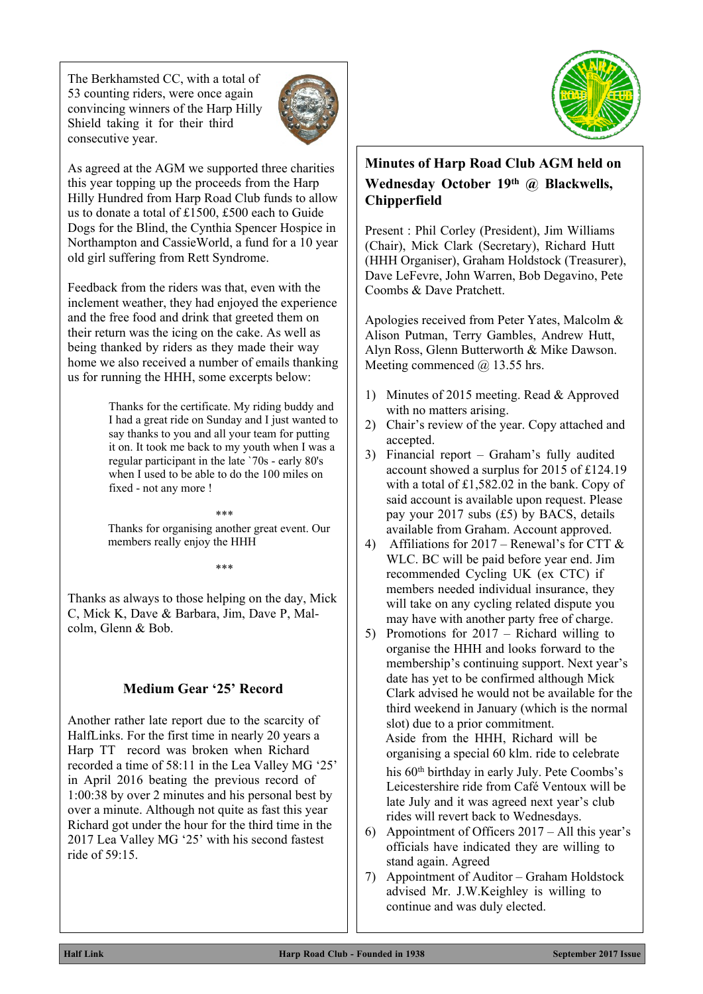The Berkhamsted CC, with a total of 53 counting riders, were once again convincing winners of the Harp Hilly Shield taking it for their third consecutive year.



As agreed at the AGM we supported three charities this year topping up the proceeds from the Harp Hilly Hundred from Harp Road Club funds to allow us to donate a total of £1500, £500 each to Guide Dogs for the Blind, the Cynthia Spencer Hospice in Northampton and CassieWorld, a fund for a 10 year old girl suffering from Rett Syndrome.

Feedback from the riders was that, even with the inclement weather, they had enjoyed the experience and the free food and drink that greeted them on their return was the icing on the cake. As well as being thanked by riders as they made their way home we also received a number of emails thanking us for running the HHH, some excerpts below:

> Thanks for the certificate. My riding buddy and I had a great ride on Sunday and I just wanted to say thanks to you and all your team for putting it on. It took me back to my youth when I was a regular participant in the late `70s - early 80's when I used to be able to do the 100 miles on fixed - not any more !

Thanks for organising another great event. Our members really enjoy the HHH

\*\*\*

\*\*\*

Thanks as always to those helping on the day, Mick C, Mick K, Dave & Barbara, Jim, Dave P, Malcolm, Glenn & Bob.

# **Medium Gear '25' Record**

Another rather late report due to the scarcity of HalfLinks. For the first time in nearly 20 years a Harp TT record was broken when Richard recorded a time of 58:11 in the Lea Valley MG '25' in April 2016 beating the previous record of 1:00:38 by over 2 minutes and his personal best by over a minute. Although not quite as fast this year Richard got under the hour for the third time in the 2017 Lea Valley MG '25' with his second fastest ride of 59:15.



## **Minutes of Harp Road Club AGM held on Wednesday October 19th @ Blackwells, Chipperfield**

Present : Phil Corley (President), Jim Williams (Chair), Mick Clark (Secretary), Richard Hutt (HHH Organiser), Graham Holdstock (Treasurer), Dave LeFevre, John Warren, Bob Degavino, Pete Coombs & Dave Pratchett.

Apologies received from Peter Yates, Malcolm & Alison Putman, Terry Gambles, Andrew Hutt, Alyn Ross, Glenn Butterworth & Mike Dawson. Meeting commenced @ 13.55 hrs.

- 1) Minutes of 2015 meeting. Read & Approved with no matters arising.
- 2) Chair's review of the year. Copy attached and accepted.
- 3) Financial report Graham's fully audited account showed a surplus for 2015 of £124.19 with a total of  $£1,582.02$  in the bank. Copy of said account is available upon request. Please pay your 2017 subs (£5) by BACS, details available from Graham. Account approved.
- 4) Affiliations for  $2017$  Renewal's for CTT  $\&$ WLC. BC will be paid before year end. Jim recommended Cycling UK (ex CTC) if members needed individual insurance, they will take on any cycling related dispute you may have with another party free of charge.
- 5) Promotions for 2017 Richard willing to organise the HHH and looks forward to the membership's continuing support. Next year's date has yet to be confirmed although Mick Clark advised he would not be available for the third weekend in January (which is the normal slot) due to a prior commitment. Aside from the HHH, Richard will be organising a special 60 klm. ride to celebrate his 60<sup>th</sup> birthday in early July. Pete Coombs's Leicestershire ride from Café Ventoux will be late July and it was agreed next year's club rides will revert back to Wednesdays.
- 6) Appointment of Officers 2017 All this year's officials have indicated they are willing to stand again. Agreed
- 7) Appointment of Auditor Graham Holdstock advised Mr. J.W.Keighley is willing to continue and was duly elected.